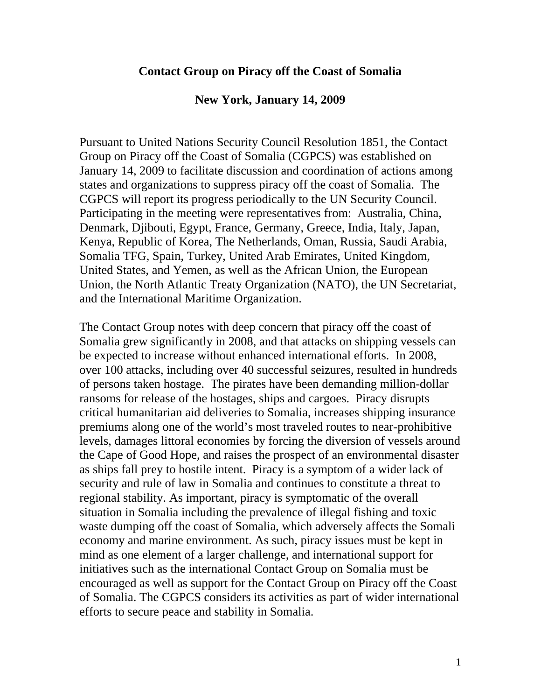## **Contact Group on Piracy off the Coast of Somalia**

## **New York, January 14, 2009**

Pursuant to United Nations Security Council Resolution 1851, the Contact Group on Piracy off the Coast of Somalia (CGPCS) was established on January 14, 2009 to facilitate discussion and coordination of actions among states and organizations to suppress piracy off the coast of Somalia. The CGPCS will report its progress periodically to the UN Security Council. Participating in the meeting were representatives from: Australia, China, Denmark, Djibouti, Egypt, France, Germany, Greece, India, Italy, Japan, Kenya, Republic of Korea, The Netherlands, Oman, Russia, Saudi Arabia, Somalia TFG, Spain, Turkey, United Arab Emirates, United Kingdom, United States, and Yemen, as well as the African Union, the European Union, the North Atlantic Treaty Organization (NATO), the UN Secretariat, and the International Maritime Organization.

The Contact Group notes with deep concern that piracy off the coast of Somalia grew significantly in 2008, and that attacks on shipping vessels can be expected to increase without enhanced international efforts. In 2008, over 100 attacks, including over 40 successful seizures, resulted in hundreds of persons taken hostage. The pirates have been demanding million-dollar ransoms for release of the hostages, ships and cargoes. Piracy disrupts critical humanitarian aid deliveries to Somalia, increases shipping insurance premiums along one of the world's most traveled routes to near-prohibitive levels, damages littoral economies by forcing the diversion of vessels around the Cape of Good Hope, and raises the prospect of an environmental disaster as ships fall prey to hostile intent. Piracy is a symptom of a wider lack of security and rule of law in Somalia and continues to constitute a threat to regional stability. As important, piracy is symptomatic of the overall situation in Somalia including the prevalence of illegal fishing and toxic waste dumping off the coast of Somalia, which adversely affects the Somali economy and marine environment. As such, piracy issues must be kept in mind as one element of a larger challenge, and international support for initiatives such as the international Contact Group on Somalia must be encouraged as well as support for the Contact Group on Piracy off the Coast of Somalia. The CGPCS considers its activities as part of wider international efforts to secure peace and stability in Somalia.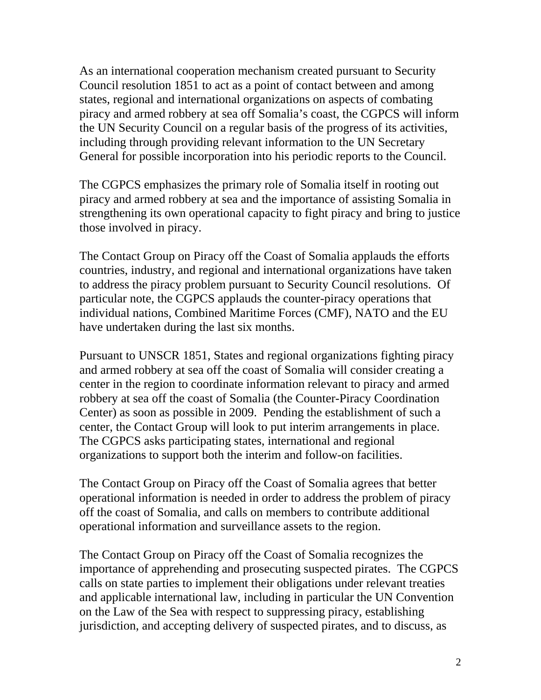As an international cooperation mechanism created pursuant to Security Council resolution 1851 to act as a point of contact between and among states, regional and international organizations on aspects of combating piracy and armed robbery at sea off Somalia's coast, the CGPCS will inform the UN Security Council on a regular basis of the progress of its activities, including through providing relevant information to the UN Secretary General for possible incorporation into his periodic reports to the Council.

The CGPCS emphasizes the primary role of Somalia itself in rooting out piracy and armed robbery at sea and the importance of assisting Somalia in strengthening its own operational capacity to fight piracy and bring to justice those involved in piracy.

The Contact Group on Piracy off the Coast of Somalia applauds the efforts countries, industry, and regional and international organizations have taken to address the piracy problem pursuant to Security Council resolutions. Of particular note, the CGPCS applauds the counter-piracy operations that individual nations, Combined Maritime Forces (CMF), NATO and the EU have undertaken during the last six months.

Pursuant to UNSCR 1851, States and regional organizations fighting piracy and armed robbery at sea off the coast of Somalia will consider creating a center in the region to coordinate information relevant to piracy and armed robbery at sea off the coast of Somalia (the Counter-Piracy Coordination Center) as soon as possible in 2009. Pending the establishment of such a center, the Contact Group will look to put interim arrangements in place. The CGPCS asks participating states, international and regional organizations to support both the interim and follow-on facilities.

The Contact Group on Piracy off the Coast of Somalia agrees that better operational information is needed in order to address the problem of piracy off the coast of Somalia, and calls on members to contribute additional operational information and surveillance assets to the region.

The Contact Group on Piracy off the Coast of Somalia recognizes the importance of apprehending and prosecuting suspected pirates. The CGPCS calls on state parties to implement their obligations under relevant treaties and applicable international law, including in particular the UN Convention on the Law of the Sea with respect to suppressing piracy, establishing jurisdiction, and accepting delivery of suspected pirates, and to discuss, as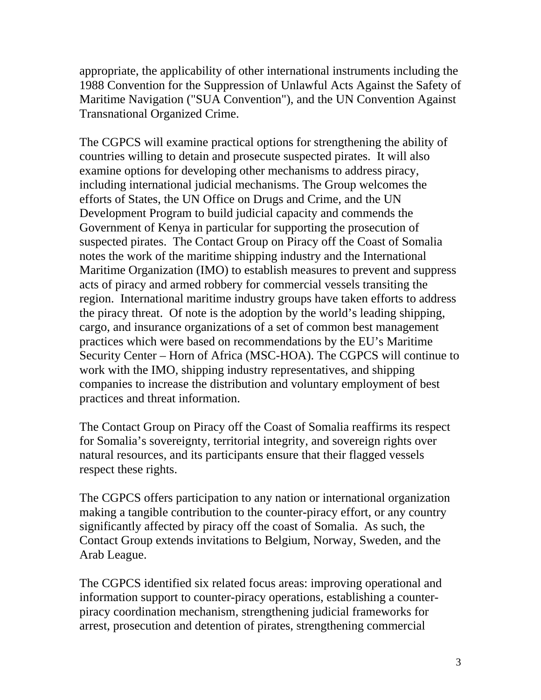appropriate, the applicability of other international instruments including the 1988 Convention for the Suppression of Unlawful Acts Against the Safety of Maritime Navigation ("SUA Convention"), and the UN Convention Against Transnational Organized Crime.

The CGPCS will examine practical options for strengthening the ability of countries willing to detain and prosecute suspected pirates. It will also examine options for developing other mechanisms to address piracy, including international judicial mechanisms. The Group welcomes the efforts of States, the UN Office on Drugs and Crime, and the UN Development Program to build judicial capacity and commends the Government of Kenya in particular for supporting the prosecution of suspected pirates. The Contact Group on Piracy off the Coast of Somalia notes the work of the maritime shipping industry and the International Maritime Organization (IMO) to establish measures to prevent and suppress acts of piracy and armed robbery for commercial vessels transiting the region. International maritime industry groups have taken efforts to address the piracy threat. Of note is the adoption by the world's leading shipping, cargo, and insurance organizations of a set of common best management practices which were based on recommendations by the EU's Maritime Security Center – Horn of Africa (MSC-HOA). The CGPCS will continue to work with the IMO, shipping industry representatives, and shipping companies to increase the distribution and voluntary employment of best practices and threat information.

The Contact Group on Piracy off the Coast of Somalia reaffirms its respect for Somalia's sovereignty, territorial integrity, and sovereign rights over natural resources, and its participants ensure that their flagged vessels respect these rights.

The CGPCS offers participation to any nation or international organization making a tangible contribution to the counter-piracy effort, or any country significantly affected by piracy off the coast of Somalia. As such, the Contact Group extends invitations to Belgium, Norway, Sweden, and the Arab League.

The CGPCS identified six related focus areas: improving operational and information support to counter-piracy operations, establishing a counterpiracy coordination mechanism, strengthening judicial frameworks for arrest, prosecution and detention of pirates, strengthening commercial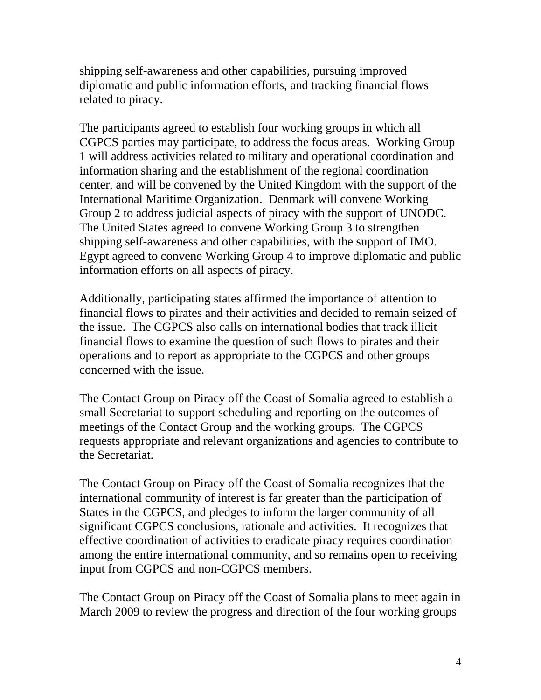shipping self-awareness and other capabilities, pursuing improved diplomatic and public information efforts, and tracking financial flows related to piracy.

The participants agreed to establish four working groups in which all CGPCS parties may participate, to address the focus areas. Working Group 1 will address activities related to military and operational coordination and information sharing and the establishment of the regional coordination center, and will be convened by the United Kingdom with the support of the International Maritime Organization. Denmark will convene Working Group 2 to address judicial aspects of piracy with the support of UNODC. The United States agreed to convene Working Group 3 to strengthen shipping self-awareness and other capabilities, with the support of IMO. Egypt agreed to convene Working Group 4 to improve diplomatic and public information efforts on all aspects of piracy.

Additionally, participating states affirmed the importance of attention to financial flows to pirates and their activities and decided to remain seized of the issue. The CGPCS also calls on international bodies that track illicit financial flows to examine the question of such flows to pirates and their operations and to report as appropriate to the CGPCS and other groups concerned with the issue.

The Contact Group on Piracy off the Coast of Somalia agreed to establish a small Secretariat to support scheduling and reporting on the outcomes of meetings of the Contact Group and the working groups. The CGPCS requests appropriate and relevant organizations and agencies to contribute to the Secretariat.

The Contact Group on Piracy off the Coast of Somalia recognizes that the international community of interest is far greater than the participation of States in the CGPCS, and pledges to inform the larger community of all significant CGPCS conclusions, rationale and activities. It recognizes that effective coordination of activities to eradicate piracy requires coordination among the entire international community, and so remains open to receiving input from CGPCS and non-CGPCS members.

The Contact Group on Piracy off the Coast of Somalia plans to meet again in March 2009 to review the progress and direction of the four working groups